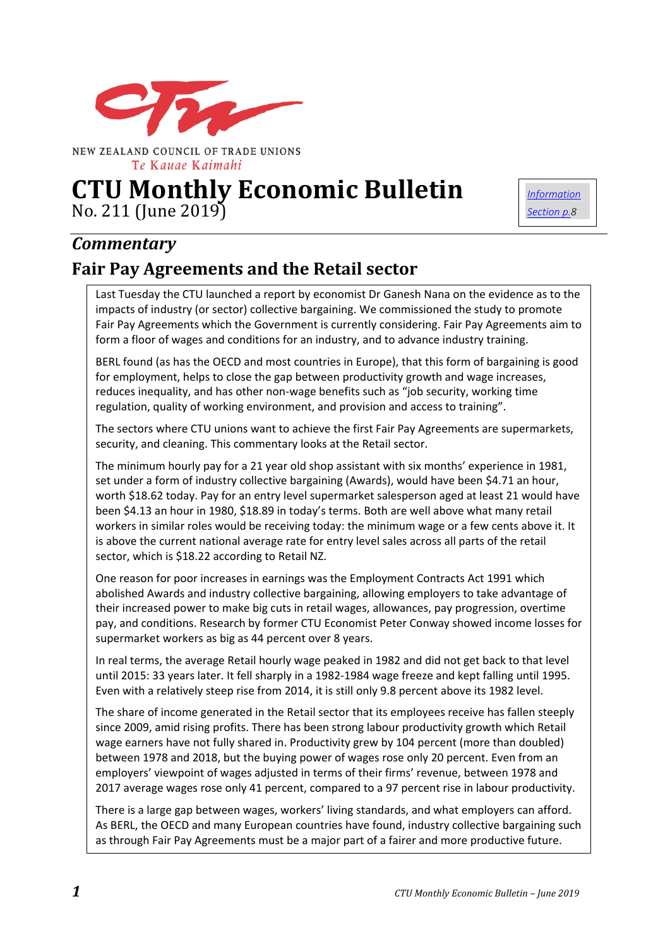

NEW ZEALAND COUNCIL OF TRADE UNIONS Te Kauae Kaimahi

# **CTU Monthly Economic Bulletin** No. 211 (June 2019)

*[Information](#page-7-0)  [Section p.8](#page-7-0)*

## *Commentary*

## **Fair Pay Agreements and the Retail sector**

Last Tuesday the CTU launched a report by economist Dr Ganesh Nana on the evidence as to the impacts of industry (or sector) collective bargaining. We commissioned the study to promote Fair Pay Agreements which the Government is currently considering. Fair Pay Agreements aim to form a floor of wages and conditions for an industry, and to advance industry training.

BERL found (as has the OECD and most countries in Europe), that this form of bargaining is good for employment, helps to close the gap between productivity growth and wage increases, reduces inequality, and has other non-wage benefits such as "job security, working time regulation, quality of working environment, and provision and access to training".

The sectors where CTU unions want to achieve the first Fair Pay Agreements are supermarkets, security, and cleaning. This commentary looks at the Retail sector.

The minimum hourly pay for a 21 year old shop assistant with six months' experience in 1981, set under a form of industry collective bargaining (Awards), would have been \$4.71 an hour, worth \$18.62 today. Pay for an entry level supermarket salesperson aged at least 21 would have been \$4.13 an hour in 1980, \$18.89 in today's terms. Both are well above what many retail workers in similar roles would be receiving today: the minimum wage or a few cents above it. It is above the current national average rate for entry level sales across all parts of the retail sector, which is \$18.22 according to Retail NZ.

One reason for poor increases in earnings was the Employment Contracts Act 1991 which abolished Awards and industry collective bargaining, allowing employers to take advantage of their increased power to make big cuts in retail wages, allowances, pay progression, overtime pay, and conditions. Research by former CTU Economist Peter Conway showed income losses for supermarket workers as big as 44 percent over 8 years.

In real terms, the average Retail hourly wage peaked in 1982 and did not get back to that level until 2015: 33 years later. It fell sharply in a 1982-1984 wage freeze and kept falling until 1995. Even with a relatively steep rise from 2014, it is still only 9.8 percent above its 1982 level.

The share of income generated in the Retail sector that its employees receive has fallen steeply since 2009, amid rising profits. There has been strong labour productivity growth which Retail wage earners have not fully shared in. Productivity grew by 104 percent (more than doubled) between 1978 and 2018, but the buying power of wages rose only 20 percent. Even from an employers' viewpoint of wages adjusted in terms of their firms' revenue, between 1978 and 2017 average wages rose only 41 percent, compared to a 97 percent rise in labour productivity.

There is a large gap between wages, workers' living standards, and what employers can afford. As BERL, the OECD and many European countries have found, industry collective bargaining such as through Fair Pay Agreements must be a major part of a fairer and more productive future.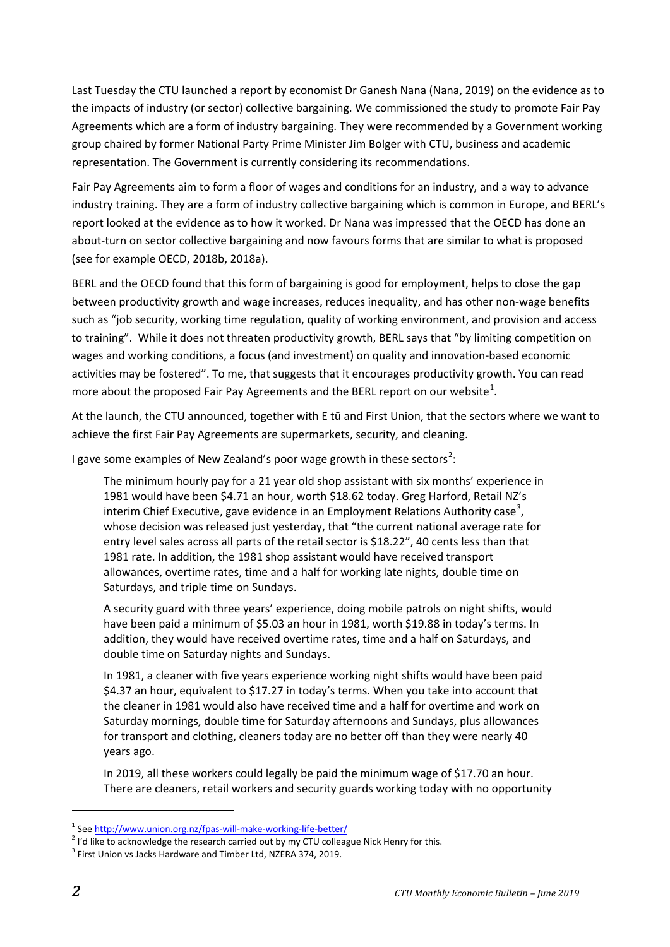Last Tuesday the CTU launched a report by economist Dr Ganesh Nana (Nana, 2019) on the evidence as to the impacts of industry (or sector) collective bargaining. We commissioned the study to promote Fair Pay Agreements which are a form of industry bargaining. They were recommended by a Government working group chaired by former National Party Prime Minister Jim Bolger with CTU, business and academic representation. The Government is currently considering its recommendations.

Fair Pay Agreements aim to form a floor of wages and conditions for an industry, and a way to advance industry training. They are a form of industry collective bargaining which is common in Europe, and BERL's report looked at the evidence as to how it worked. Dr Nana was impressed that the OECD has done an about-turn on sector collective bargaining and now favours forms that are similar to what is proposed (see for example OECD, 2018b, 2018a).

BERL and the OECD found that this form of bargaining is good for employment, helps to close the gap between productivity growth and wage increases, reduces inequality, and has other non-wage benefits such as "job security, working time regulation, quality of working environment, and provision and access to training". While it does not threaten productivity growth, BERL says that "by limiting competition on wages and working conditions, a focus (and investment) on quality and innovation-based economic activities may be fostered". To me, that suggests that it encourages productivity growth. You can read more about the proposed Fair Pay Agreements and the BERL report on our website<sup>[1](#page-1-0)</sup>.

At the launch, the CTU announced, together with E tū and First Union, that the sectors where we want to achieve the first Fair Pay Agreements are supermarkets, security, and cleaning.

I gave some examples of New Zealand's poor wage growth in these sectors<sup>[2](#page-1-1)</sup>:

The minimum hourly pay for a 21 year old shop assistant with six months' experience in 1981 would have been \$4.71 an hour, worth \$18.62 today. Greg Harford, Retail NZ's interim Chief Executive, gave evidence in an Employment Relations Authority case<sup>[3](#page-1-2)</sup>, whose decision was released just yesterday, that "the current national average rate for entry level sales across all parts of the retail sector is \$18.22", 40 cents less than that 1981 rate. In addition, the 1981 shop assistant would have received transport allowances, overtime rates, time and a half for working late nights, double time on Saturdays, and triple time on Sundays.

A security guard with three years' experience, doing mobile patrols on night shifts, would have been paid a minimum of \$5.03 an hour in 1981, worth \$19.88 in today's terms. In addition, they would have received overtime rates, time and a half on Saturdays, and double time on Saturday nights and Sundays.

In 1981, a cleaner with five years experience working night shifts would have been paid \$4.37 an hour, equivalent to \$17.27 in today's terms. When you take into account that the cleaner in 1981 would also have received time and a half for overtime and work on Saturday mornings, double time for Saturday afternoons and Sundays, plus allowances for transport and clothing, cleaners today are no better off than they were nearly 40 years ago.

In 2019, all these workers could legally be paid the minimum wage of \$17.70 an hour. There are cleaners, retail workers and security guards working today with no opportunity

<u>.</u>

<span id="page-1-0"></span><sup>&</sup>lt;sup>1</sup> Se[e http://www.union.org.nz/fpas-will-make-working-life-better/](http://www.union.org.nz/fpas-will-make-working-life-better/)<br><sup>2</sup> I'd like to acknowledge the research carried out by my CTU colleague Nick Henry for this.

<span id="page-1-2"></span><span id="page-1-1"></span><sup>&</sup>lt;sup>3</sup> First Union vs Jacks Hardware and Timber Ltd, NZERA 374, 2019.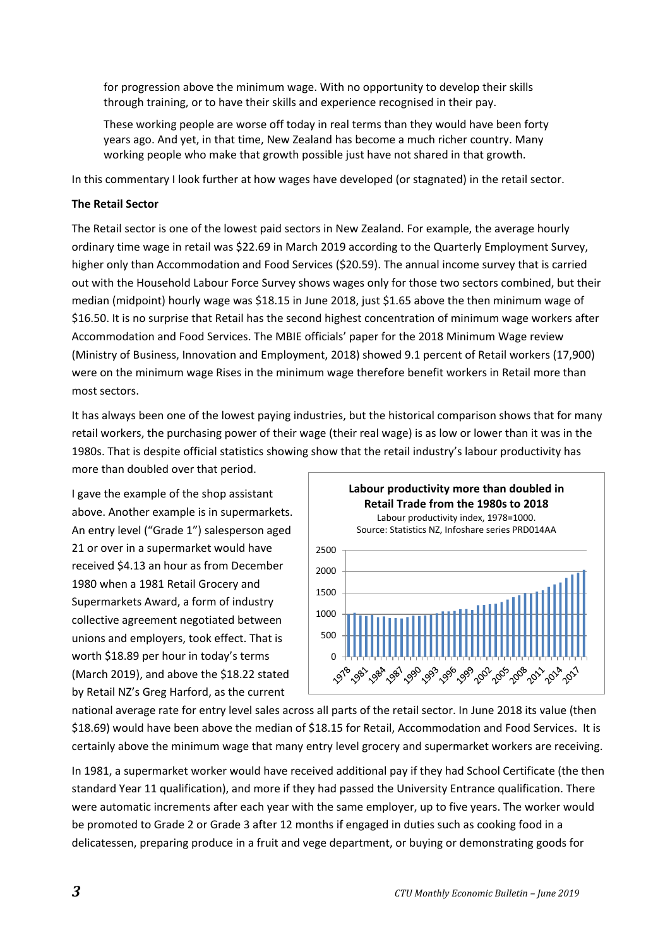for progression above the minimum wage. With no opportunity to develop their skills through training, or to have their skills and experience recognised in their pay.

These working people are worse off today in real terms than they would have been forty years ago. And yet, in that time, New Zealand has become a much richer country. Many working people who make that growth possible just have not shared in that growth.

In this commentary I look further at how wages have developed (or stagnated) in the retail sector.

#### **The Retail Sector**

The Retail sector is one of the lowest paid sectors in New Zealand. For example, the average hourly ordinary time wage in retail was \$22.69 in March 2019 according to the Quarterly Employment Survey, higher only than Accommodation and Food Services (\$20.59). The annual income survey that is carried out with the Household Labour Force Survey shows wages only for those two sectors combined, but their median (midpoint) hourly wage was \$18.15 in June 2018, just \$1.65 above the then minimum wage of \$16.50. It is no surprise that Retail has the second highest concentration of minimum wage workers after Accommodation and Food Services. The MBIE officials' paper for the 2018 Minimum Wage review (Ministry of Business, Innovation and Employment, 2018) showed 9.1 percent of Retail workers (17,900) were on the minimum wage Rises in the minimum wage therefore benefit workers in Retail more than most sectors.

It has always been one of the lowest paying industries, but the historical comparison shows that for many retail workers, the purchasing power of their wage (their real wage) is as low or lower than it was in the 1980s. That is despite official statistics showing show that the retail industry's labour productivity has more than doubled over that period.

I gave the example of the shop assistant above. Another example is in supermarkets. An entry level ("Grade 1") salesperson aged 21 or over in a supermarket would have received \$4.13 an hour as from December 1980 when a 1981 Retail Grocery and Supermarkets Award, a form of industry collective agreement negotiated between unions and employers, took effect. That is worth \$18.89 per hour in today's terms (March 2019), and above the \$18.22 stated by Retail NZ's Greg Harford, as the current



national average rate for entry level sales across all parts of the retail sector. In June 2018 its value (then \$18.69) would have been above the median of \$18.15 for Retail, Accommodation and Food Services. It is certainly above the minimum wage that many entry level grocery and supermarket workers are receiving.

In 1981, a supermarket worker would have received additional pay if they had School Certificate (the then standard Year 11 qualification), and more if they had passed the University Entrance qualification. There were automatic increments after each year with the same employer, up to five years. The worker would be promoted to Grade 2 or Grade 3 after 12 months if engaged in duties such as cooking food in a delicatessen, preparing produce in a fruit and vege department, or buying or demonstrating goods for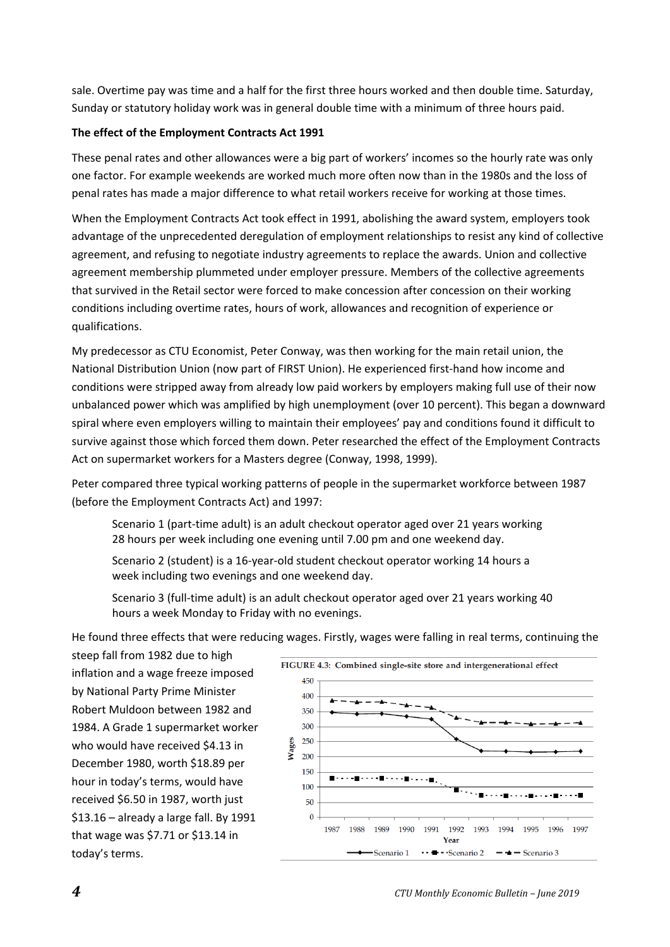sale. Overtime pay was time and a half for the first three hours worked and then double time. Saturday, Sunday or statutory holiday work was in general double time with a minimum of three hours paid.

#### **The effect of the Employment Contracts Act 1991**

These penal rates and other allowances were a big part of workers' incomes so the hourly rate was only one factor. For example weekends are worked much more often now than in the 1980s and the loss of penal rates has made a major difference to what retail workers receive for working at those times.

When the Employment Contracts Act took effect in 1991, abolishing the award system, employers took advantage of the unprecedented deregulation of employment relationships to resist any kind of collective agreement, and refusing to negotiate industry agreements to replace the awards. Union and collective agreement membership plummeted under employer pressure. Members of the collective agreements that survived in the Retail sector were forced to make concession after concession on their working conditions including overtime rates, hours of work, allowances and recognition of experience or qualifications.

My predecessor as CTU Economist, Peter Conway, was then working for the main retail union, the National Distribution Union (now part of FIRST Union). He experienced first-hand how income and conditions were stripped away from already low paid workers by employers making full use of their now unbalanced power which was amplified by high unemployment (over 10 percent). This began a downward spiral where even employers willing to maintain their employees' pay and conditions found it difficult to survive against those which forced them down. Peter researched the effect of the Employment Contracts Act on supermarket workers for a Masters degree (Conway, 1998, 1999).

Peter compared three typical working patterns of people in the supermarket workforce between 1987 (before the Employment Contracts Act) and 1997:

Scenario 1 (part-time adult) is an adult checkout operator aged over 21 years working 28 hours per week including one evening until 7.00 pm and one weekend day.

Scenario 2 (student) is a 16-year-old student checkout operator working 14 hours a week including two evenings and one weekend day.

Scenario 3 (full-time adult) is an adult checkout operator aged over 21 years working 40 hours a week Monday to Friday with no evenings.

He found three effects that were reducing wages. Firstly, wages were falling in real terms, continuing the

steep fall from 1982 due to high inflation and a wage freeze imposed by National Party Prime Minister Robert Muldoon between 1982 and 1984. A Grade 1 supermarket worker who would have received \$4.13 in December 1980, worth \$18.89 per hour in today's terms, would have received \$6.50 in 1987, worth just \$13.16 – already a large fall. By 1991 that wage was \$7.71 or \$13.14 in today's terms.

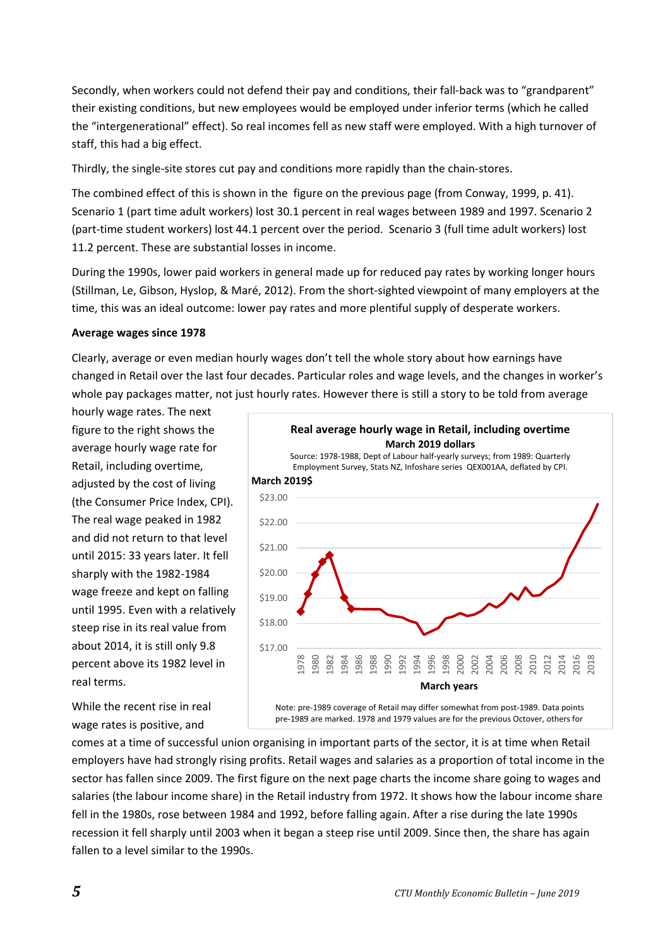Secondly, when workers could not defend their pay and conditions, their fall-back was to "grandparent" their existing conditions, but new employees would be employed under inferior terms (which he called the "intergenerational" effect). So real incomes fell as new staff were employed. With a high turnover of staff, this had a big effect.

Thirdly, the single-site stores cut pay and conditions more rapidly than the chain-stores.

The combined effect of this is shown in the figure on the previous page (from Conway, 1999, p. 41). Scenario 1 (part time adult workers) lost 30.1 percent in real wages between 1989 and 1997. Scenario 2 (part-time student workers) lost 44.1 percent over the period. Scenario 3 (full time adult workers) lost 11.2 percent. These are substantial losses in income.

During the 1990s, lower paid workers in general made up for reduced pay rates by working longer hours (Stillman, Le, Gibson, Hyslop, & Maré, 2012). From the short-sighted viewpoint of many employers at the time, this was an ideal outcome: lower pay rates and more plentiful supply of desperate workers.

#### **Average wages since 1978**

Clearly, average or even median hourly wages don't tell the whole story about how earnings have changed in Retail over the last four decades. Particular roles and wage levels, and the changes in worker's whole pay packages matter, not just hourly rates. However there is still a story to be told from average

hourly wage rates. The next figure to the right shows the average hourly wage rate for Retail, including overtime, adjusted by the cost of living (the Consumer Price Index, CPI). The real wage peaked in 1982 and did not return to that level until 2015: 33 years later. It fell sharply with the 1982-1984 wage freeze and kept on falling until 1995. Even with a relatively steep rise in its real value from about 2014, it is still only 9.8 percent above its 1982 level in real terms.

While the recent rise in real wage rates is positive, and



Note: pre-1989 coverage of Retail may differ somewhat from post-1989. Data points pre-1989 are marked. 1978 and 1979 values are for the previous Octover, others for

comes at a time of successful union organising in important parts of the sector, it is at time when Retail employers have had strongly rising profits. Retail wages and salaries as a proportion of total income in the sector has fallen since 2009. The first figure on the next page charts the income share going to wages and salaries (the labour income share) in the Retail industry from 1972. It shows how the labour income share fell in the 1980s, rose between 1984 and 1992, before falling again. After a rise during the late 1990s recession it fell sharply until 2003 when it began a steep rise until 2009. Since then, the share has again fallen to a level similar to the 1990s.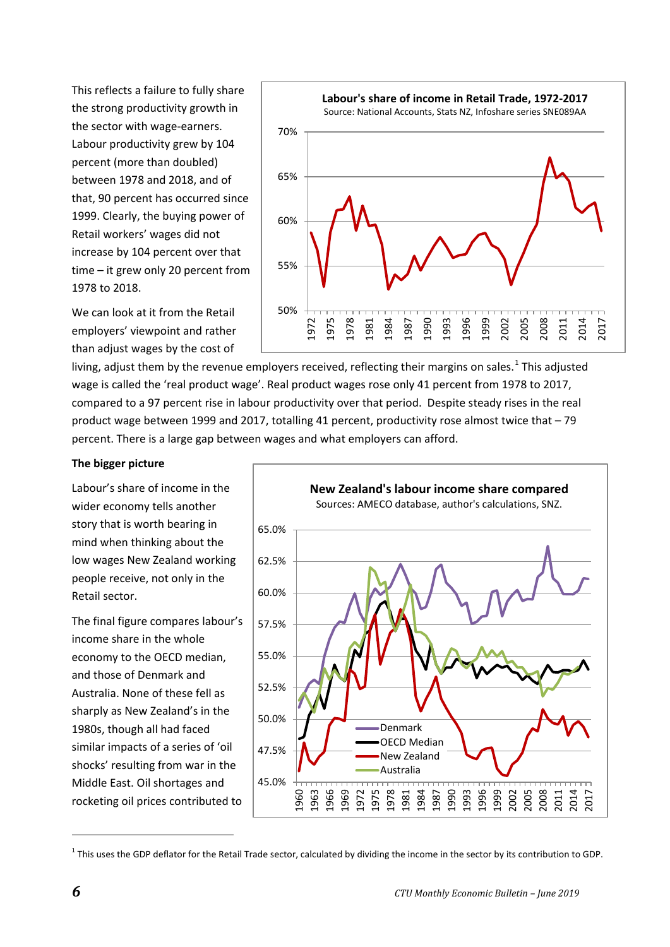This reflects a failure to fully share the strong productivity growth in the sector with wage-earners. Labour productivity grew by 104 percent (more than doubled) between 1978 and 2018, and of that, 90 percent has occurred since 1999. Clearly, the buying power of Retail workers' wages did not increase by 104 percent over that time – it grew only 20 percent from 1978 to 2018.





living, adjust them by the revenue employers received, reflecting their margins on sales.<sup>[1](#page-5-0)</sup> This adjusted wage is called the 'real product wage'. Real product wages rose only 41 percent from 1978 to 2017, compared to a 97 percent rise in labour productivity over that period. Despite steady rises in the real product wage between 1999 and 2017, totalling 41 percent, productivity rose almost twice that – 79 percent. There is a large gap between wages and what employers can afford.

#### **The bigger picture**

Labour's share of income in the wider economy tells another story that is worth bearing in mind when thinking about the low wages New Zealand working people receive, not only in the Retail sector.

The final figure compares labour's income share in the whole economy to the OECD median, and those of Denmark and Australia. None of these fell as sharply as New Zealand's in the 1980s, though all had faced similar impacts of a series of 'oil shocks' resulting from war in the Middle East. Oil shortages and rocketing oil prices contributed to



<span id="page-5-0"></span> $1$  This uses the GDP deflator for the Retail Trade sector, calculated by dividing the income in the sector by its contribution to GDP.

**.**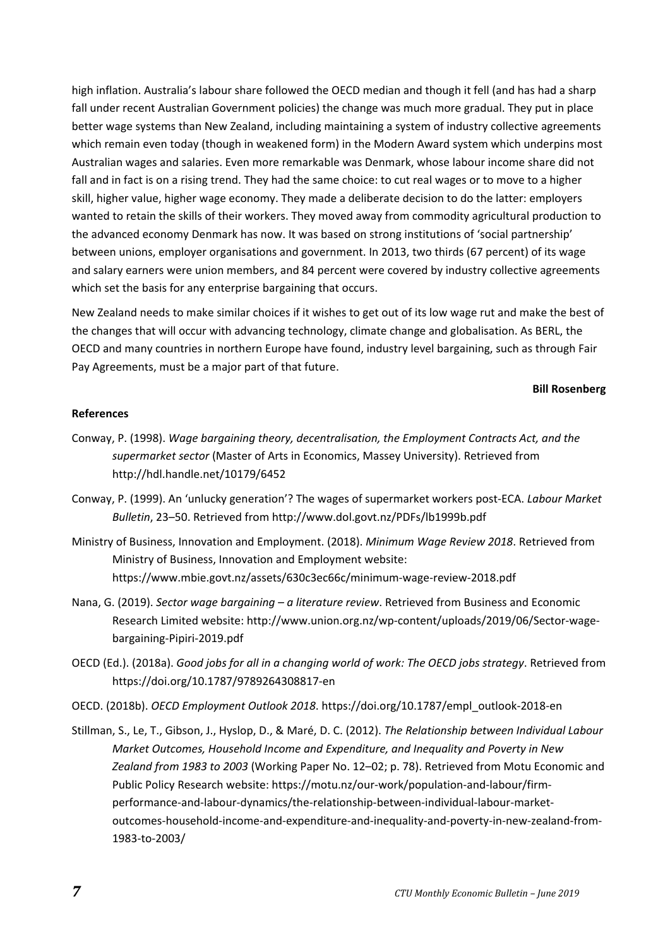high inflation. Australia's labour share followed the OECD median and though it fell (and has had a sharp fall under recent Australian Government policies) the change was much more gradual. They put in place better wage systems than New Zealand, including maintaining a system of industry collective agreements which remain even today (though in weakened form) in the Modern Award system which underpins most Australian wages and salaries. Even more remarkable was Denmark, whose labour income share did not fall and in fact is on a rising trend. They had the same choice: to cut real wages or to move to a higher skill, higher value, higher wage economy. They made a deliberate decision to do the latter: employers wanted to retain the skills of their workers. They moved away from commodity agricultural production to the advanced economy Denmark has now. It was based on strong institutions of 'social partnership' between unions, employer organisations and government. In 2013, two thirds (67 percent) of its wage and salary earners were union members, and 84 percent were covered by industry collective agreements which set the basis for any enterprise bargaining that occurs.

New Zealand needs to make similar choices if it wishes to get out of its low wage rut and make the best of the changes that will occur with advancing technology, climate change and globalisation. As BERL, the OECD and many countries in northern Europe have found, industry level bargaining, such as through Fair Pay Agreements, must be a major part of that future.

#### **Bill Rosenberg**

#### **References**

- Conway, P. (1998). *Wage bargaining theory, decentralisation, the Employment Contracts Act, and the supermarket sector* (Master of Arts in Economics, Massey University). Retrieved from http://hdl.handle.net/10179/6452
- Conway, P. (1999). An 'unlucky generation'? The wages of supermarket workers post-ECA. *Labour Market Bulletin*, 23–50. Retrieved from http://www.dol.govt.nz/PDFs/lb1999b.pdf
- Ministry of Business, Innovation and Employment. (2018). *Minimum Wage Review 2018*. Retrieved from Ministry of Business, Innovation and Employment website: https://www.mbie.govt.nz/assets/630c3ec66c/minimum-wage-review-2018.pdf
- Nana, G. (2019). *Sector wage bargaining – a literature review*. Retrieved from Business and Economic Research Limited website: http://www.union.org.nz/wp-content/uploads/2019/06/Sector-wagebargaining-Pipiri-2019.pdf
- OECD (Ed.). (2018a). *Good jobs for all in a changing world of work: The OECD jobs strategy*. Retrieved from https://doi.org/10.1787/9789264308817-en
- OECD. (2018b). *OECD Employment Outlook 2018*. https://doi.org/10.1787/empl\_outlook-2018-en
- Stillman, S., Le, T., Gibson, J., Hyslop, D., & Maré, D. C. (2012). *The Relationship between Individual Labour Market Outcomes, Household Income and Expenditure, and Inequality and Poverty in New Zealand from 1983 to 2003* (Working Paper No. 12–02; p. 78). Retrieved from Motu Economic and Public Policy Research website: https://motu.nz/our-work/population-and-labour/firmperformance-and-labour-dynamics/the-relationship-between-individual-labour-marketoutcomes-household-income-and-expenditure-and-inequality-and-poverty-in-new-zealand-from-1983-to-2003/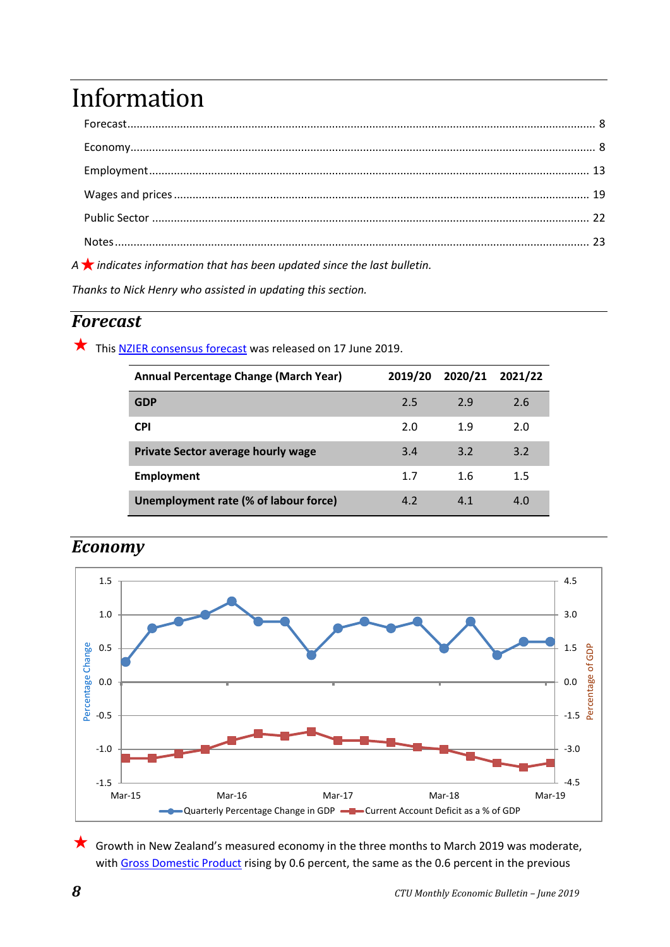# <span id="page-7-2"></span><span id="page-7-0"></span>Information

| $\label{eq:1} \begin{minipage}{0.9\linewidth} \textbf{Economy} \textbf{} \textbf{} \textbf{} \textbf{} \textbf{} \textbf{} \textbf{} \textbf{} \textbf{} \textbf{} \textbf{} \textbf{} \textbf{} \textbf{} \textbf{} \textbf{} \end{minipage}$ |  |
|------------------------------------------------------------------------------------------------------------------------------------------------------------------------------------------------------------------------------------------------|--|
|                                                                                                                                                                                                                                                |  |
|                                                                                                                                                                                                                                                |  |
|                                                                                                                                                                                                                                                |  |
|                                                                                                                                                                                                                                                |  |
|                                                                                                                                                                                                                                                |  |

*<sup>A</sup>indicates information that has been updated since the last bulletin.*

*Thanks to Nick Henry who assisted in updating this section.*

## <span id="page-7-1"></span>*Forecast*

This [NZIER consensus forecast](https://nzier.org.nz/publication/nzier-consensus-forecasts-shows-lower-growth-outlook-consensus-forecasts-june-2019) was released on 17 June 2019.

| Annual Percentage Change (March Year) | 2019/20 | 2020/21 | 2021/22 |
|---------------------------------------|---------|---------|---------|
| <b>GDP</b>                            | 2.5     | 2.9     | 2.6     |
| <b>CPI</b>                            | 2.0     | 1.9     | 2.0     |
| Private Sector average hourly wage    | 3.4     | 3.2     | 3.2     |
| <b>Employment</b>                     | 1.7     | 1.6     | 1.5     |
| Unemployment rate (% of labour force) | 4.2     | 4.1     | 4.0     |



## *Economy*

 Growth in New Zealand's measured economy in the three months to March 2019 was moderate, with [Gross Domestic Product](https://www.stats.govt.nz/topics/gross-domestic-product) rising by 0.6 percent, the same as the 0.6 percent in the previous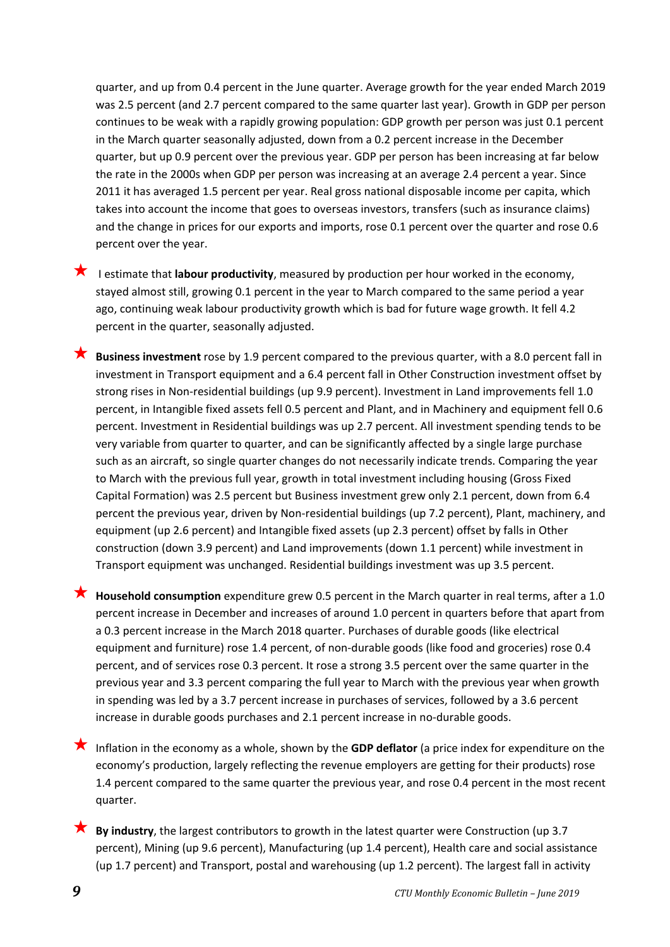quarter, and up from 0.4 percent in the June quarter. Average growth for the year ended March 2019 was 2.5 percent (and 2.7 percent compared to the same quarter last year). Growth in GDP per person continues to be weak with a rapidly growing population: GDP growth per person was just 0.1 percent in the March quarter seasonally adjusted, down from a 0.2 percent increase in the December quarter, but up 0.9 percent over the previous year. GDP per person has been increasing at far below the rate in the 2000s when GDP per person was increasing at an average 2.4 percent a year. Since 2011 it has averaged 1.5 percent per year. Real gross national disposable income per capita, which takes into account the income that goes to overseas investors, transfers (such as insurance claims) and the change in prices for our exports and imports, rose 0.1 percent over the quarter and rose 0.6 percent over the year.

- **I** is estimate that **labour productivity**, measured by production per hour worked in the economy, stayed almost still, growing 0.1 percent in the year to March compared to the same period a year ago, continuing weak labour productivity growth which is bad for future wage growth. It fell 4.2 percent in the quarter, seasonally adjusted.
- **Business investment** rose by 1.9 percent compared to the previous quarter, with a 8.0 percent fall in investment in Transport equipment and a 6.4 percent fall in Other Construction investment offset by strong rises in Non-residential buildings (up 9.9 percent). Investment in Land improvements fell 1.0 percent, in Intangible fixed assets fell 0.5 percent and Plant, and in Machinery and equipment fell 0.6 percent. Investment in Residential buildings was up 2.7 percent. All investment spending tends to be very variable from quarter to quarter, and can be significantly affected by a single large purchase such as an aircraft, so single quarter changes do not necessarily indicate trends. Comparing the year to March with the previous full year, growth in total investment including housing (Gross Fixed Capital Formation) was 2.5 percent but Business investment grew only 2.1 percent, down from 6.4 percent the previous year, driven by Non-residential buildings (up 7.2 percent), Plant, machinery, and equipment (up 2.6 percent) and Intangible fixed assets (up 2.3 percent) offset by falls in Other construction (down 3.9 percent) and Land improvements (down 1.1 percent) while investment in Transport equipment was unchanged. Residential buildings investment was up 3.5 percent.
- **K** Household consumption expenditure grew 0.5 percent in the March quarter in real terms, after a 1.0 percent increase in December and increases of around 1.0 percent in quarters before that apart from a 0.3 percent increase in the March 2018 quarter. Purchases of durable goods (like electrical equipment and furniture) rose 1.4 percent, of non-durable goods (like food and groceries) rose 0.4 percent, and of services rose 0.3 percent. It rose a strong 3.5 percent over the same quarter in the previous year and 3.3 percent comparing the full year to March with the previous year when growth in spending was led by a 3.7 percent increase in purchases of services, followed by a 3.6 percent increase in durable goods purchases and 2.1 percent increase in no-durable goods.
- Inflation in the economy as a whole, shown by the **GDP deflator** (a price index for expenditure on the economy's production, largely reflecting the revenue employers are getting for their products) rose 1.4 percent compared to the same quarter the previous year, and rose 0.4 percent in the most recent quarter.
- **By industry**, the largest contributors to growth in the latest quarter were Construction (up 3.7 percent), Mining (up 9.6 percent), Manufacturing (up 1.4 percent), Health care and social assistance (up 1.7 percent) and Transport, postal and warehousing (up 1.2 percent). The largest fall in activity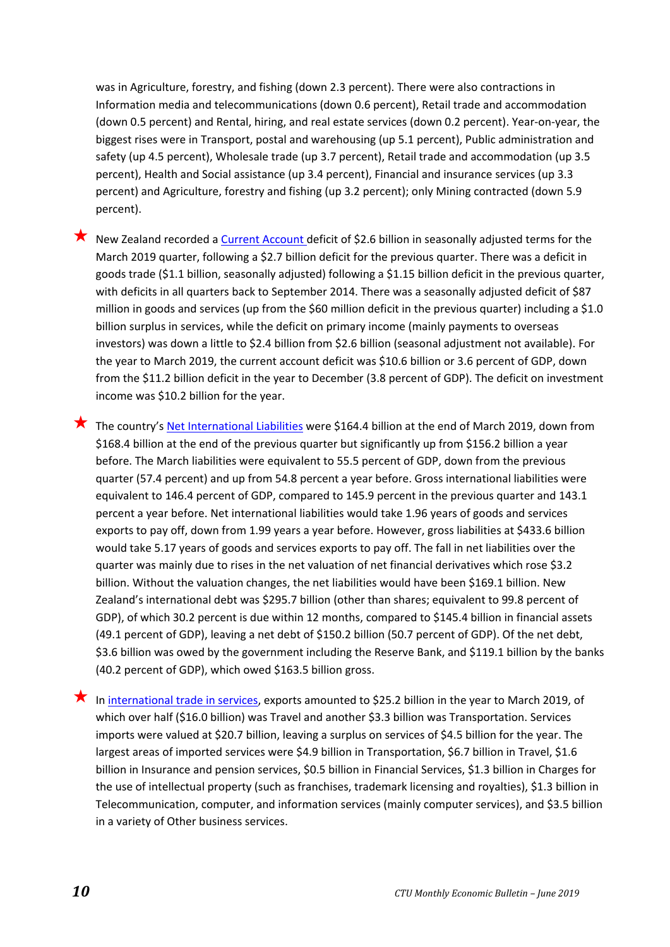was in Agriculture, forestry, and fishing (down 2.3 percent). There were also contractions in Information media and telecommunications (down 0.6 percent), Retail trade and accommodation (down 0.5 percent) and Rental, hiring, and real estate services (down 0.2 percent). Year-on-year, the biggest rises were in Transport, postal and warehousing (up 5.1 percent), Public administration and safety (up 4.5 percent), Wholesale trade (up 3.7 percent), Retail trade and accommodation (up 3.5 percent), Health and Social assistance (up 3.4 percent), Financial and insurance services (up 3.3 percent) and Agriculture, forestry and fishing (up 3.2 percent); only Mining contracted (down 5.9 percent).

New Zealand recorded [a Current Account d](https://www.stats.govt.nz/topics/balance-of-payments)eficit of \$2.6 billion in seasonally adjusted terms for the March 2019 quarter, following a \$2.7 billion deficit for the previous quarter. There was a deficit in goods trade (\$1.1 billion, seasonally adjusted) following a \$1.15 billion deficit in the previous quarter, with deficits in all quarters back to September 2014. There was a seasonally adjusted deficit of \$87 million in goods and services (up from the \$60 million deficit in the previous quarter) including a \$1.0 billion surplus in services, while the deficit on primary income (mainly payments to overseas investors) was down a little to \$2.4 billion from \$2.6 billion (seasonal adjustment not available). For the year to March 2019, the current account deficit was \$10.6 billion or 3.6 percent of GDP, down from the \$11.2 billion deficit in the year to December (3.8 percent of GDP). The deficit on investment income was \$10.2 billion for the year.

The country's [Net International Liabilities](https://www.stats.govt.nz/topics/balance-of-payments) were \$164.4 billion at the end of March 2019, down from \$168.4 billion at the end of the previous quarter but significantly up from \$156.2 billion a year before. The March liabilities were equivalent to 55.5 percent of GDP, down from the previous quarter (57.4 percent) and up from 54.8 percent a year before. Gross international liabilities were equivalent to 146.4 percent of GDP, compared to 145.9 percent in the previous quarter and 143.1 percent a year before. Net international liabilities would take 1.96 years of goods and services exports to pay off, down from 1.99 years a year before. However, gross liabilities at \$433.6 billion would take 5.17 years of goods and services exports to pay off. The fall in net liabilities over the quarter was mainly due to rises in the net valuation of net financial derivatives which rose \$3.2 billion. Without the valuation changes, the net liabilities would have been \$169.1 billion. New Zealand's international debt was \$295.7 billion (other than shares; equivalent to 99.8 percent of GDP), of which 30.2 percent is due within 12 months, compared to \$145.4 billion in financial assets (49.1 percent of GDP), leaving a net debt of \$150.2 billion (50.7 percent of GDP). Of the net debt, \$3.6 billion was owed by the government including the Reserve Bank, and \$119.1 billion by the banks (40.2 percent of GDP), which owed \$163.5 billion gross.

★ In [international trade in services,](https://www.stats.govt.nz/topics/balance-of-payments) exports amounted to \$25.2 billion in the year to March 2019, of which over half (\$16.0 billion) was Travel and another \$3.3 billion was Transportation. Services imports were valued at \$20.7 billion, leaving a surplus on services of \$4.5 billion for the year. The largest areas of imported services were \$4.9 billion in Transportation, \$6.7 billion in Travel, \$1.6 billion in Insurance and pension services, \$0.5 billion in Financial Services, \$1.3 billion in Charges for the use of intellectual property (such as franchises, trademark licensing and royalties), \$1.3 billion in Telecommunication, computer, and information services (mainly computer services), and \$3.5 billion in a variety of Other business services.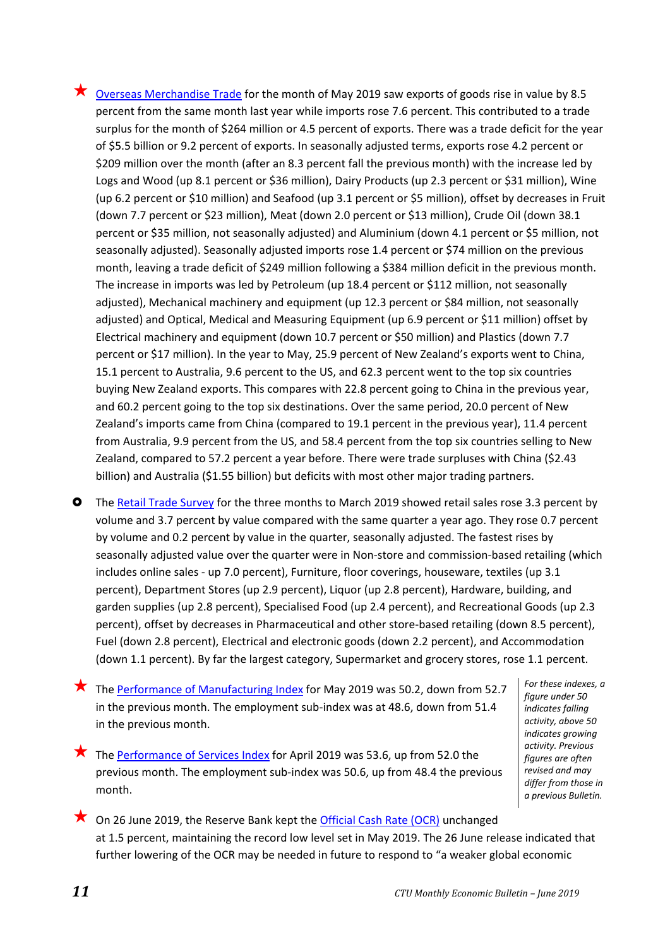- $\bigstar$  [Overseas Merchandise Trade](https://www.stats.govt.nz/topics/imports-and-exports) for the month of May 2019 saw exports of goods rise in value by 8.5 percent from the same month last year while imports rose 7.6 percent. This contributed to a trade surplus for the month of \$264 million or 4.5 percent of exports. There was a trade deficit for the year of \$5.5 billion or 9.2 percent of exports. In seasonally adjusted terms, exports rose 4.2 percent or \$209 million over the month (after an 8.3 percent fall the previous month) with the increase led by Logs and Wood (up 8.1 percent or \$36 million), Dairy Products (up 2.3 percent or \$31 million), Wine (up 6.2 percent or \$10 million) and Seafood (up 3.1 percent or \$5 million), offset by decreases in Fruit (down 7.7 percent or \$23 million), Meat (down 2.0 percent or \$13 million), Crude Oil (down 38.1 percent or \$35 million, not seasonally adjusted) and Aluminium (down 4.1 percent or \$5 million, not seasonally adjusted). Seasonally adjusted imports rose 1.4 percent or \$74 million on the previous month, leaving a trade deficit of \$249 million following a \$384 million deficit in the previous month. The increase in imports was led by Petroleum (up 18.4 percent or \$112 million, not seasonally adjusted), Mechanical machinery and equipment (up 12.3 percent or \$84 million, not seasonally adjusted) and Optical, Medical and Measuring Equipment (up 6.9 percent or \$11 million) offset by Electrical machinery and equipment (down 10.7 percent or \$50 million) and Plastics (down 7.7 percent or \$17 million). In the year to May, 25.9 percent of New Zealand's exports went to China, 15.1 percent to Australia, 9.6 percent to the US, and 62.3 percent went to the top six countries buying New Zealand exports. This compares with 22.8 percent going to China in the previous year, and 60.2 percent going to the top six destinations. Over the same period, 20.0 percent of New Zealand's imports came from China (compared to 19.1 percent in the previous year), 11.4 percent from Australia, 9.9 percent from the US, and 58.4 percent from the top six countries selling to New Zealand, compared to 57.2 percent a year before. There were trade surpluses with China (\$2.43 billion) and Australia (\$1.55 billion) but deficits with most other major trading partners.
- **O** The [Retail Trade Survey](https://www.stats.govt.nz/topics/retail-and-wholesale-trade) for the three months to March 2019 showed retail sales rose 3.3 percent by volume and 3.7 percent by value compared with the same quarter a year ago. They rose 0.7 percent by volume and 0.2 percent by value in the quarter, seasonally adjusted. The fastest rises by seasonally adjusted value over the quarter were in Non-store and commission-based retailing (which includes online sales - up 7.0 percent), Furniture, floor coverings, houseware, textiles (up 3.1 percent), Department Stores (up 2.9 percent), Liquor (up 2.8 percent), Hardware, building, and garden supplies (up 2.8 percent), Specialised Food (up 2.4 percent), and Recreational Goods (up 2.3 percent), offset by decreases in Pharmaceutical and other store-based retailing (down 8.5 percent), Fuel (down 2.8 percent), Electrical and electronic goods (down 2.2 percent), and Accommodation (down 1.1 percent). By far the largest category, Supermarket and grocery stores, rose 1.1 percent.
- The [Performance of Manufacturing Index](http://www.businessnz.org.nz/resources/surveys-and-statistics/pmi) for May 2019 was 50.2, down from 52.7 in the previous month. The employment sub-index was at 48.6, down from 51.4 in the previous month.
- The [Performance of Services Index](http://www.businessnz.org.nz/resources/surveys-and-statistics/psi) for April 2019 was 53.6, up from 52.0 the previous month. The employment sub-index was 50.6, up from 48.4 the previous month.
- *For these indexes, a figure under 50 indicates falling activity, above 50 indicates growing activity. Previous figures are often revised and may differ from those in a previous Bulletin.*
- $\bigstar$  On 26 June 2019, the Reserve Bank kept th[e Official Cash](https://www.rbnz.govt.nz/monetary-policy/official-cash-rate-decisions) Rate (OCR) unchanged at 1.5 percent, maintaining the record low level set in May 2019. The 26 June release indicated that further lowering of the OCR may be needed in future to respond to "a weaker global economic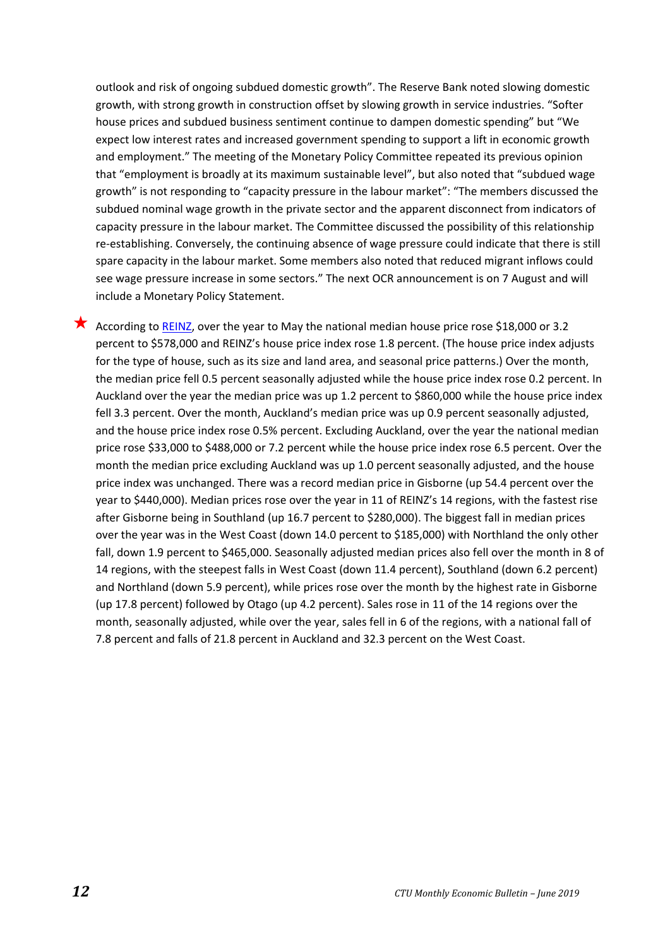outlook and risk of ongoing subdued domestic growth". The Reserve Bank noted slowing domestic growth, with strong growth in construction offset by slowing growth in service industries. "Softer house prices and subdued business sentiment continue to dampen domestic spending" but "We expect low interest rates and increased government spending to support a lift in economic growth and employment." The meeting of the Monetary Policy Committee repeated its previous opinion that "employment is broadly at its maximum sustainable level", but also noted that "subdued wage growth" is not responding to "capacity pressure in the labour market": "The members discussed the subdued nominal wage growth in the private sector and the apparent disconnect from indicators of capacity pressure in the labour market. The Committee discussed the possibility of this relationship re-establishing. Conversely, the continuing absence of wage pressure could indicate that there is still spare capacity in the labour market. Some members also noted that reduced migrant inflows could see wage pressure increase in some sectors." The next OCR announcement is on 7 August and will include a Monetary Policy Statement.

According to [REINZ,](https://www.reinz.co.nz/residential-property-data-gallery) over the year to May the national median house price rose \$18,000 or 3.2 percent to \$578,000 and REINZ's house price index rose 1.8 percent. (The house price index adjusts for the type of house, such as its size and land area, and seasonal price patterns.) Over the month, the median price fell 0.5 percent seasonally adjusted while the house price index rose 0.2 percent. In Auckland over the year the median price was up 1.2 percent to \$860,000 while the house price index fell 3.3 percent. Over the month, Auckland's median price was up 0.9 percent seasonally adjusted, and the house price index rose 0.5% percent. Excluding Auckland, over the year the national median price rose \$33,000 to \$488,000 or 7.2 percent while the house price index rose 6.5 percent. Over the month the median price excluding Auckland was up 1.0 percent seasonally adjusted, and the house price index was unchanged. There was a record median price in Gisborne (up 54.4 percent over the year to \$440,000). Median prices rose over the year in 11 of REINZ's 14 regions, with the fastest rise after Gisborne being in Southland (up 16.7 percent to \$280,000). The biggest fall in median prices over the year was in the West Coast (down 14.0 percent to \$185,000) with Northland the only other fall, down 1.9 percent to \$465,000. Seasonally adjusted median prices also fell over the month in 8 of 14 regions, with the steepest falls in West Coast (down 11.4 percent), Southland (down 6.2 percent) and Northland (down 5.9 percent), while prices rose over the month by the highest rate in Gisborne (up 17.8 percent) followed by Otago (up 4.2 percent). Sales rose in 11 of the 14 regions over the month, seasonally adjusted, while over the year, sales fell in 6 of the regions, with a national fall of 7.8 percent and falls of 21.8 percent in Auckland and 32.3 percent on the West Coast.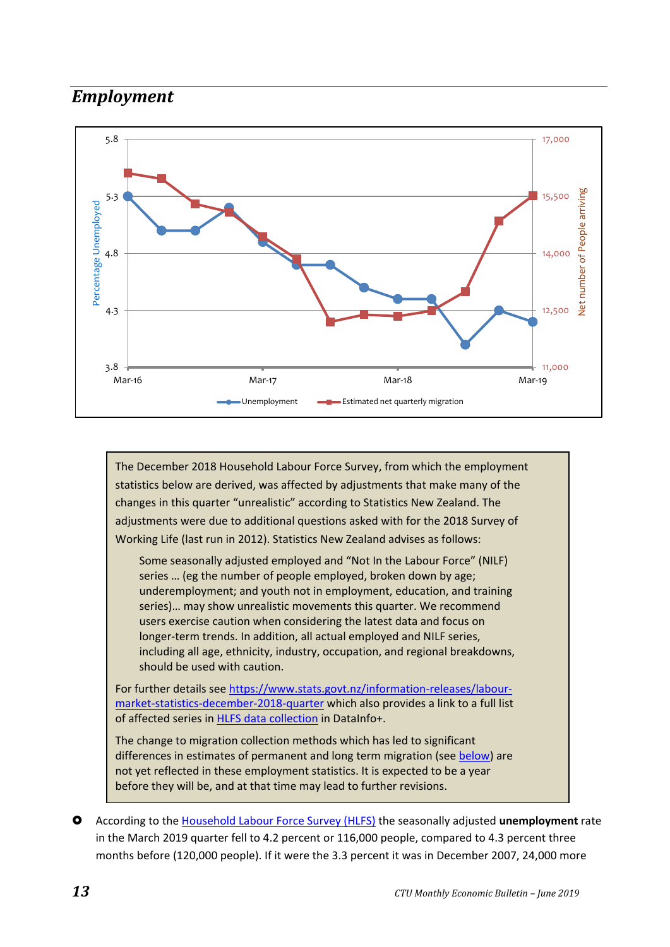## <span id="page-12-0"></span>*Employment*



The December 2018 Household Labour Force Survey, from which the employment statistics below are derived, was affected by adjustments that make many of the changes in this quarter "unrealistic" according to Statistics New Zealand. The adjustments were due to additional questions asked with for the 2018 Survey of Working Life (last run in 2012). Statistics New Zealand advises as follows:

Some seasonally adjusted employed and "Not In the Labour Force" (NILF) series … (eg the number of people employed, broken down by age; underemployment; and youth not in employment, education, and training series)… may show unrealistic movements this quarter. We recommend users exercise caution when considering the latest data and focus on longer-term trends. In addition, all actual employed and NILF series, including all age, ethnicity, industry, occupation, and regional breakdowns, should be used with caution.

For further details se[e https://www.stats.govt.nz/information-releases/labour](https://www.stats.govt.nz/information-releases/labour-market-statistics-december-2018-quarter)[market-statistics-december-2018-quarter](https://www.stats.govt.nz/information-releases/labour-market-statistics-december-2018-quarter) which also provides a link to a full list of affected series in [HLFS data collection](http://datainfoplus.stats.govt.nz/item/example.org/506a2563-a059-4633-8f61-c8c342495ff5#/example.org/c3c18889-0173-441d-aa86-3d1943655c8f/) in DataInfo+.

The change to migration collection methods which has led to significant differences in estimates of permanent and long term migration (see [below\)](#page-16-0) are not yet reflected in these employment statistics. It is expected to be a year before they will be, and at that time may lead to further revisions.

 According to the [Household Labour Force Survey](https://www.stats.govt.nz/topics/labour-market) (HLFS) the seasonally adjusted **unemployment** rate in the March 2019 quarter fell to 4.2 percent or 116,000 people, compared to 4.3 percent three months before (120,000 people). If it were the 3.3 percent it was in December 2007, 24,000 more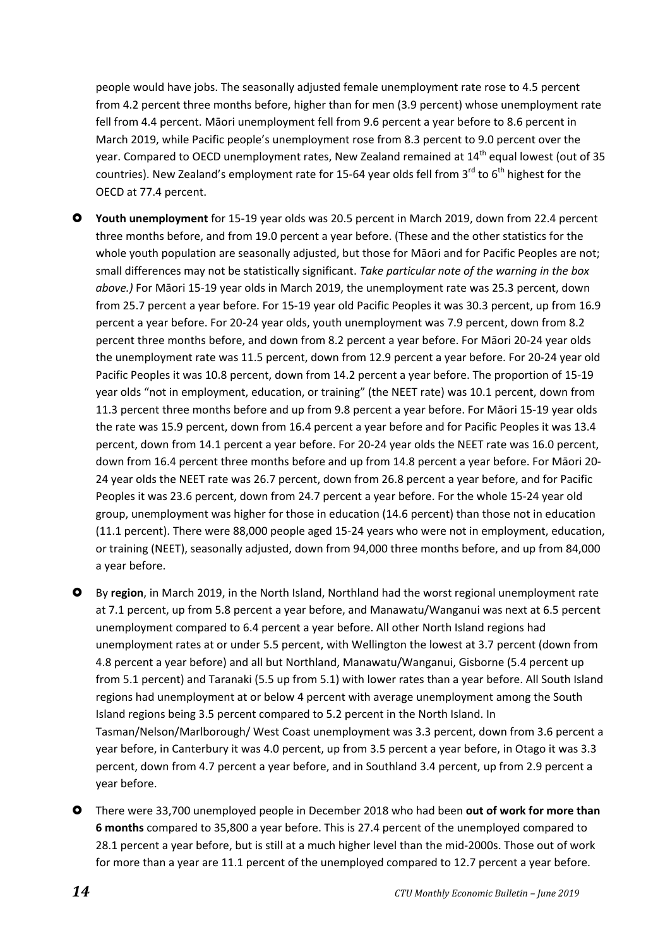people would have jobs. The seasonally adjusted female unemployment rate rose to 4.5 percent from 4.2 percent three months before, higher than for men (3.9 percent) whose unemployment rate fell from 4.4 percent. Māori unemployment fell from 9.6 percent a year before to 8.6 percent in March 2019, while Pacific people's unemployment rose from 8.3 percent to 9.0 percent over the year. Compared to OECD unemployment rates, New Zealand remained at 14<sup>th</sup> equal lowest (out of 35 countries). New Zealand's employment rate for 15-64 year olds fell from  $3^{rd}$  to  $6^{th}$  highest for the OECD at 77.4 percent.

- **Youth unemployment** for 15-19 year olds was 20.5 percent in March 2019, down from 22.4 percent three months before, and from 19.0 percent a year before. (These and the other statistics for the whole youth population are seasonally adjusted, but those for Māori and for Pacific Peoples are not; small differences may not be statistically significant. *Take particular note of the warning in the box above.)* For Māori 15-19 year olds in March 2019, the unemployment rate was 25.3 percent, down from 25.7 percent a year before. For 15-19 year old Pacific Peoples it was 30.3 percent, up from 16.9 percent a year before. For 20-24 year olds, youth unemployment was 7.9 percent, down from 8.2 percent three months before, and down from 8.2 percent a year before. For Māori 20-24 year olds the unemployment rate was 11.5 percent, down from 12.9 percent a year before. For 20-24 year old Pacific Peoples it was 10.8 percent, down from 14.2 percent a year before. The proportion of 15-19 year olds "not in employment, education, or training" (the NEET rate) was 10.1 percent, down from 11.3 percent three months before and up from 9.8 percent a year before. For Māori 15-19 year olds the rate was 15.9 percent, down from 16.4 percent a year before and for Pacific Peoples it was 13.4 percent, down from 14.1 percent a year before. For 20-24 year olds the NEET rate was 16.0 percent, down from 16.4 percent three months before and up from 14.8 percent a year before. For Māori 20- 24 year olds the NEET rate was 26.7 percent, down from 26.8 percent a year before, and for Pacific Peoples it was 23.6 percent, down from 24.7 percent a year before. For the whole 15-24 year old group, unemployment was higher for those in education (14.6 percent) than those not in education (11.1 percent). There were 88,000 people aged 15-24 years who were not in employment, education, or training (NEET), seasonally adjusted, down from 94,000 three months before, and up from 84,000 a year before.
- By **region**, in March 2019, in the North Island, Northland had the worst regional unemployment rate at 7.1 percent, up from 5.8 percent a year before, and Manawatu/Wanganui was next at 6.5 percent unemployment compared to 6.4 percent a year before. All other North Island regions had unemployment rates at or under 5.5 percent, with Wellington the lowest at 3.7 percent (down from 4.8 percent a year before) and all but Northland, Manawatu/Wanganui, Gisborne (5.4 percent up from 5.1 percent) and Taranaki (5.5 up from 5.1) with lower rates than a year before. All South Island regions had unemployment at or below 4 percent with average unemployment among the South Island regions being 3.5 percent compared to 5.2 percent in the North Island. In Tasman/Nelson/Marlborough/ West Coast unemployment was 3.3 percent, down from 3.6 percent a year before, in Canterbury it was 4.0 percent, up from 3.5 percent a year before, in Otago it was 3.3 percent, down from 4.7 percent a year before, and in Southland 3.4 percent, up from 2.9 percent a year before.
- There were 33,700 unemployed people in December 2018 who had been **out of work for more than 6 months** compared to 35,800 a year before. This is 27.4 percent of the unemployed compared to 28.1 percent a year before, but is still at a much higher level than the mid-2000s. Those out of work for more than a year are 11.1 percent of the unemployed compared to 12.7 percent a year before.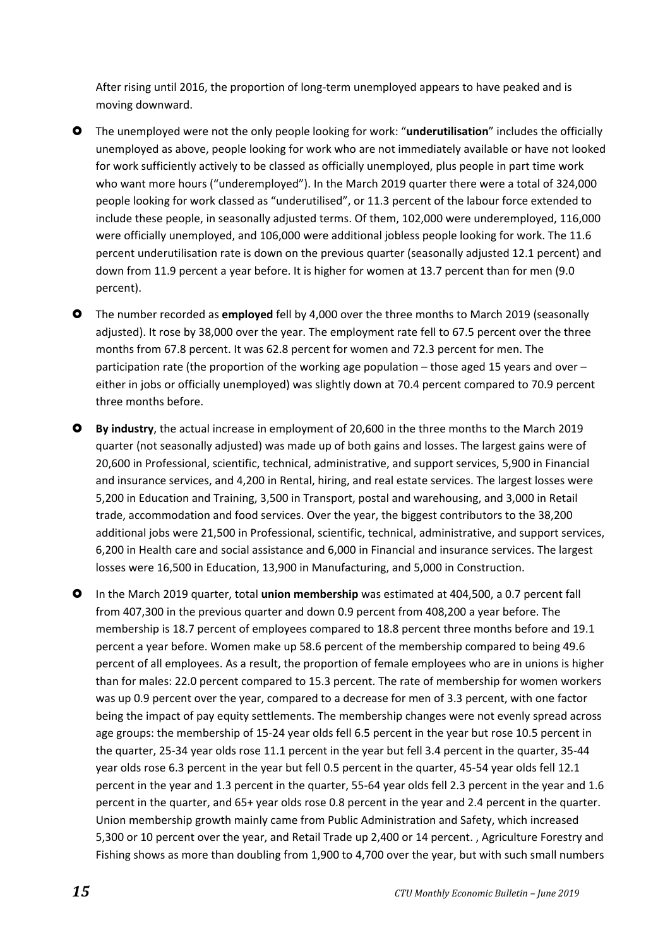After rising until 2016, the proportion of long-term unemployed appears to have peaked and is moving downward.

- The unemployed were not the only people looking for work: "**underutilisation**" includes the officially unemployed as above, people looking for work who are not immediately available or have not looked for work sufficiently actively to be classed as officially unemployed, plus people in part time work who want more hours ("underemployed"). In the March 2019 quarter there were a total of 324,000 people looking for work classed as "underutilised", or 11.3 percent of the labour force extended to include these people, in seasonally adjusted terms. Of them, 102,000 were underemployed, 116,000 were officially unemployed, and 106,000 were additional jobless people looking for work. The 11.6 percent underutilisation rate is down on the previous quarter (seasonally adjusted 12.1 percent) and down from 11.9 percent a year before. It is higher for women at 13.7 percent than for men (9.0 percent).
- The number recorded as **employed** fell by 4,000 over the three months to March 2019 (seasonally adjusted). It rose by 38,000 over the year. The employment rate fell to 67.5 percent over the three months from 67.8 percent. It was 62.8 percent for women and 72.3 percent for men. The participation rate (the proportion of the working age population – those aged 15 years and over – either in jobs or officially unemployed) was slightly down at 70.4 percent compared to 70.9 percent three months before.
- **By industry**, the actual increase in employment of 20,600 in the three months to the March 2019 quarter (not seasonally adjusted) was made up of both gains and losses. The largest gains were of 20,600 in Professional, scientific, technical, administrative, and support services, 5,900 in Financial and insurance services, and 4,200 in Rental, hiring, and real estate services. The largest losses were 5,200 in Education and Training, 3,500 in Transport, postal and warehousing, and 3,000 in Retail trade, accommodation and food services. Over the year, the biggest contributors to the 38,200 additional jobs were 21,500 in Professional, scientific, technical, administrative, and support services, 6,200 in Health care and social assistance and 6,000 in Financial and insurance services. The largest losses were 16,500 in Education, 13,900 in Manufacturing, and 5,000 in Construction.
- In the March 2019 quarter, total **union membership** was estimated at 404,500, a 0.7 percent fall from 407,300 in the previous quarter and down 0.9 percent from 408,200 a year before. The membership is 18.7 percent of employees compared to 18.8 percent three months before and 19.1 percent a year before. Women make up 58.6 percent of the membership compared to being 49.6 percent of all employees. As a result, the proportion of female employees who are in unions is higher than for males: 22.0 percent compared to 15.3 percent. The rate of membership for women workers was up 0.9 percent over the year, compared to a decrease for men of 3.3 percent, with one factor being the impact of pay equity settlements. The membership changes were not evenly spread across age groups: the membership of 15-24 year olds fell 6.5 percent in the year but rose 10.5 percent in the quarter, 25-34 year olds rose 11.1 percent in the year but fell 3.4 percent in the quarter, 35-44 year olds rose 6.3 percent in the year but fell 0.5 percent in the quarter, 45-54 year olds fell 12.1 percent in the year and 1.3 percent in the quarter, 55-64 year olds fell 2.3 percent in the year and 1.6 percent in the quarter, and 65+ year olds rose 0.8 percent in the year and 2.4 percent in the quarter. Union membership growth mainly came from Public Administration and Safety, which increased 5,300 or 10 percent over the year, and Retail Trade up 2,400 or 14 percent. , Agriculture Forestry and Fishing shows as more than doubling from 1,900 to 4,700 over the year, but with such small numbers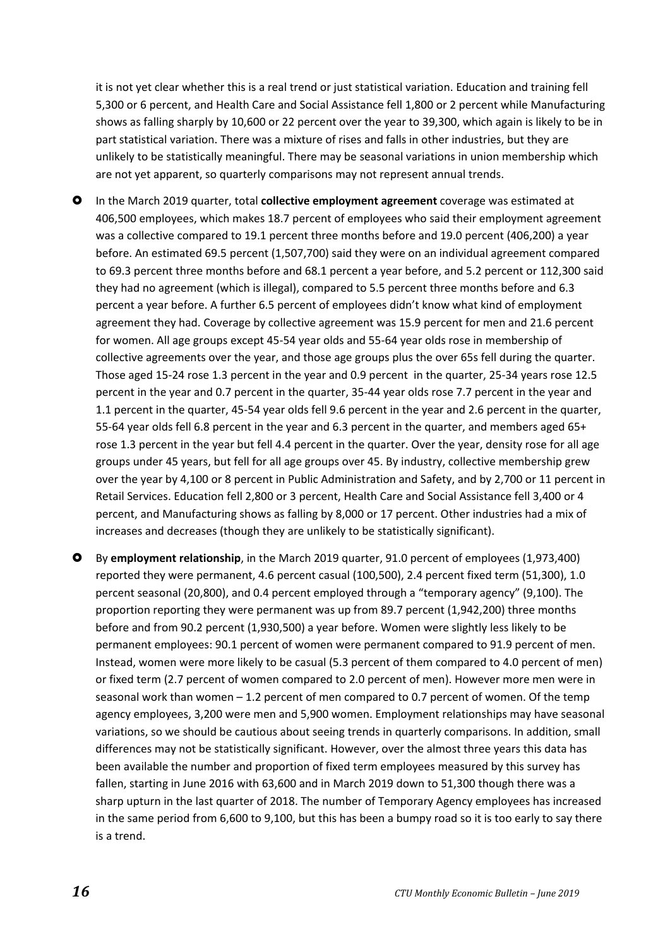it is not yet clear whether this is a real trend or just statistical variation. Education and training fell 5,300 or 6 percent, and Health Care and Social Assistance fell 1,800 or 2 percent while Manufacturing shows as falling sharply by 10,600 or 22 percent over the year to 39,300, which again is likely to be in part statistical variation. There was a mixture of rises and falls in other industries, but they are unlikely to be statistically meaningful. There may be seasonal variations in union membership which are not yet apparent, so quarterly comparisons may not represent annual trends.

- In the March 2019 quarter, total **collective employment agreement** coverage was estimated at 406,500 employees, which makes 18.7 percent of employees who said their employment agreement was a collective compared to 19.1 percent three months before and 19.0 percent (406,200) a year before. An estimated 69.5 percent (1,507,700) said they were on an individual agreement compared to 69.3 percent three months before and 68.1 percent a year before, and 5.2 percent or 112,300 said they had no agreement (which is illegal), compared to 5.5 percent three months before and 6.3 percent a year before. A further 6.5 percent of employees didn't know what kind of employment agreement they had. Coverage by collective agreement was 15.9 percent for men and 21.6 percent for women. All age groups except 45-54 year olds and 55-64 year olds rose in membership of collective agreements over the year, and those age groups plus the over 65s fell during the quarter. Those aged 15-24 rose 1.3 percent in the year and 0.9 percent in the quarter, 25-34 years rose 12.5 percent in the year and 0.7 percent in the quarter, 35-44 year olds rose 7.7 percent in the year and 1.1 percent in the quarter, 45-54 year olds fell 9.6 percent in the year and 2.6 percent in the quarter, 55-64 year olds fell 6.8 percent in the year and 6.3 percent in the quarter, and members aged 65+ rose 1.3 percent in the year but fell 4.4 percent in the quarter. Over the year, density rose for all age groups under 45 years, but fell for all age groups over 45. By industry, collective membership grew over the year by 4,100 or 8 percent in Public Administration and Safety, and by 2,700 or 11 percent in Retail Services. Education fell 2,800 or 3 percent, Health Care and Social Assistance fell 3,400 or 4 percent, and Manufacturing shows as falling by 8,000 or 17 percent. Other industries had a mix of increases and decreases (though they are unlikely to be statistically significant).
- By **employment relationship**, in the March 2019 quarter, 91.0 percent of employees (1,973,400) reported they were permanent, 4.6 percent casual (100,500), 2.4 percent fixed term (51,300), 1.0 percent seasonal (20,800), and 0.4 percent employed through a "temporary agency" (9,100). The proportion reporting they were permanent was up from 89.7 percent (1,942,200) three months before and from 90.2 percent (1,930,500) a year before. Women were slightly less likely to be permanent employees: 90.1 percent of women were permanent compared to 91.9 percent of men. Instead, women were more likely to be casual (5.3 percent of them compared to 4.0 percent of men) or fixed term (2.7 percent of women compared to 2.0 percent of men). However more men were in seasonal work than women  $-1.2$  percent of men compared to 0.7 percent of women. Of the temp agency employees, 3,200 were men and 5,900 women. Employment relationships may have seasonal variations, so we should be cautious about seeing trends in quarterly comparisons. In addition, small differences may not be statistically significant. However, over the almost three years this data has been available the number and proportion of fixed term employees measured by this survey has fallen, starting in June 2016 with 63,600 and in March 2019 down to 51,300 though there was a sharp upturn in the last quarter of 2018. The number of Temporary Agency employees has increased in the same period from 6,600 to 9,100, but this has been a bumpy road so it is too early to say there is a trend.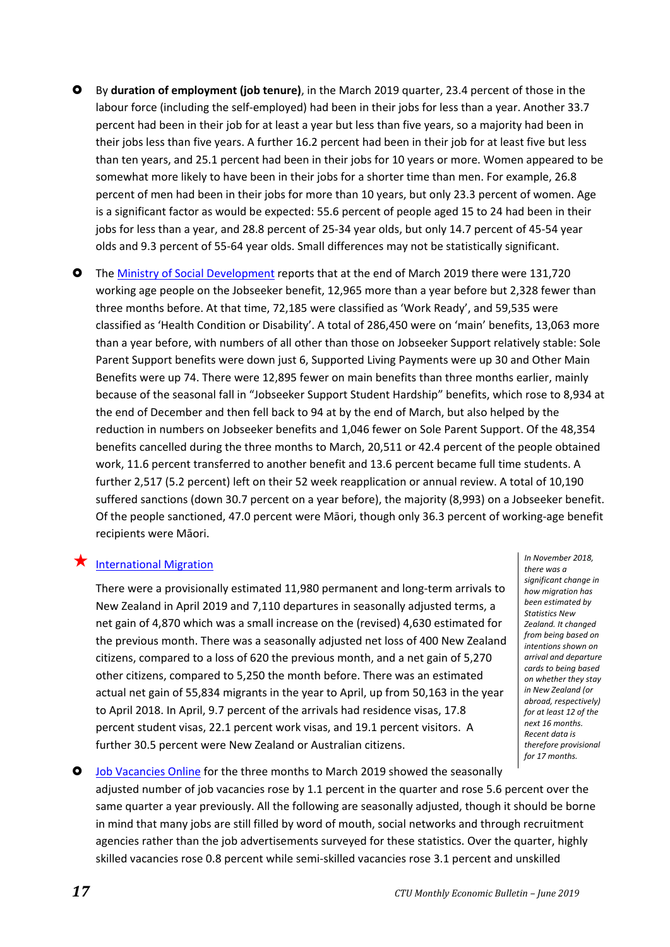- By **duration of employment (job tenure)**, in the March 2019 quarter, 23.4 percent of those in the labour force (including the self-employed) had been in their jobs for less than a year. Another 33.7 percent had been in their job for at least a year but less than five years, so a majority had been in their jobs less than five years. A further 16.2 percent had been in their job for at least five but less than ten years, and 25.1 percent had been in their jobs for 10 years or more. Women appeared to be somewhat more likely to have been in their jobs for a shorter time than men. For example, 26.8 percent of men had been in their jobs for more than 10 years, but only 23.3 percent of women. Age is a significant factor as would be expected: 55.6 percent of people aged 15 to 24 had been in their jobs for less than a year, and 28.8 percent of 25-34 year olds, but only 14.7 percent of 45-54 year olds and 9.3 percent of 55-64 year olds. Small differences may not be statistically significant.
- The [Ministry of Social Development](https://www.msd.govt.nz/about-msd-and-our-work/publications-resources/statistics/benefit/index.html) reports that at the end of March 2019 there were 131,720 working age people on the Jobseeker benefit, 12,965 more than a year before but 2,328 fewer than three months before. At that time, 72,185 were classified as 'Work Ready', and 59,535 were classified as 'Health Condition or Disability'. A total of 286,450 were on 'main' benefits, 13,063 more than a year before, with numbers of all other than those on Jobseeker Support relatively stable: Sole Parent Support benefits were down just 6, Supported Living Payments were up 30 and Other Main Benefits were up 74. There were 12,895 fewer on main benefits than three months earlier, mainly because of the seasonal fall in "Jobseeker Support Student Hardship" benefits, which rose to 8,934 at the end of December and then fell back to 94 at by the end of March, but also helped by the reduction in numbers on Jobseeker benefits and 1,046 fewer on Sole Parent Support. Of the 48,354 benefits cancelled during the three months to March, 20,511 or 42.4 percent of the people obtained work, 11.6 percent transferred to another benefit and 13.6 percent became full time students. A further 2,517 (5.2 percent) left on their 52 week reapplication or annual review. A total of 10,190 suffered sanctions (down 30.7 percent on a year before), the majority (8,993) on a Jobseeker benefit. Of the people sanctioned, 47.0 percent were Māori, though only 36.3 percent of working-age benefit recipients were Māori.

#### $\bigstar$  [International Migration](https://www.stats.govt.nz/topics/migration)

There were a provisionally estimated 11,980 permanent and long-term arrivals to New Zealand in April 2019 and 7,110 departures in seasonally adjusted terms, a net gain of 4,870 which was a small increase on the (revised) 4,630 estimated for the previous month. There was a seasonally adjusted net loss of 400 New Zealand citizens, compared to a loss of 620 the previous month, and a net gain of 5,270 other citizens, compared to 5,250 the month before. There was an estimated actual net gain of 55,834 migrants in the year to April, up from 50,163 in the year to April 2018. In April, 9.7 percent of the arrivals had residence visas, 17.8 percent student visas, 22.1 percent work visas, and 19.1 percent visitors. A further 30.5 percent were New Zealand or Australian citizens.

<span id="page-16-0"></span>*In November 2018, there was a significant change in how migration has been estimated by Statistics New Zealand. It changed from being based on intentions shown on arrival and departure cards to being based on whether they stay in New Zealand (or abroad, respectively) for at least 12 of the next 16 months. Recent data is therefore provisional for 17 months.*

 [Job Vacancies Online](https://www.mbie.govt.nz/business-and-employment/employment-and-skills/labour-market-reports-data-and-analysis/jobs-online) for the three months to March 2019 showed the seasonally adjusted number of job vacancies rose by 1.1 percent in the quarter and rose 5.6 percent over the same quarter a year previously. All the following are seasonally adjusted, though it should be borne in mind that many jobs are still filled by word of mouth, social networks and through recruitment agencies rather than the job advertisements surveyed for these statistics. Over the quarter, highly skilled vacancies rose 0.8 percent while semi-skilled vacancies rose 3.1 percent and unskilled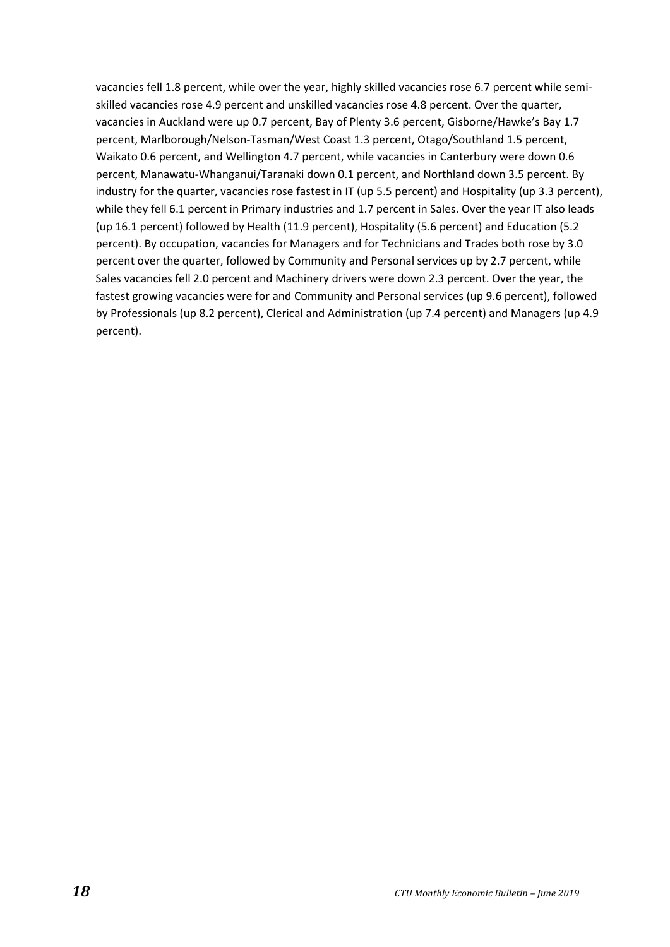vacancies fell 1.8 percent, while over the year, highly skilled vacancies rose 6.7 percent while semiskilled vacancies rose 4.9 percent and unskilled vacancies rose 4.8 percent. Over the quarter, vacancies in Auckland were up 0.7 percent, Bay of Plenty 3.6 percent, Gisborne/Hawke's Bay 1.7 percent, Marlborough/Nelson-Tasman/West Coast 1.3 percent, Otago/Southland 1.5 percent, Waikato 0.6 percent, and Wellington 4.7 percent, while vacancies in Canterbury were down 0.6 percent, Manawatu-Whanganui/Taranaki down 0.1 percent, and Northland down 3.5 percent. By industry for the quarter, vacancies rose fastest in IT (up 5.5 percent) and Hospitality (up 3.3 percent), while they fell 6.1 percent in Primary industries and 1.7 percent in Sales. Over the year IT also leads (up 16.1 percent) followed by Health (11.9 percent), Hospitality (5.6 percent) and Education (5.2 percent). By occupation, vacancies for Managers and for Technicians and Trades both rose by 3.0 percent over the quarter, followed by Community and Personal services up by 2.7 percent, while Sales vacancies fell 2.0 percent and Machinery drivers were down 2.3 percent. Over the year, the fastest growing vacancies were for and Community and Personal services (up 9.6 percent), followed by Professionals (up 8.2 percent), Clerical and Administration (up 7.4 percent) and Managers (up 4.9 percent).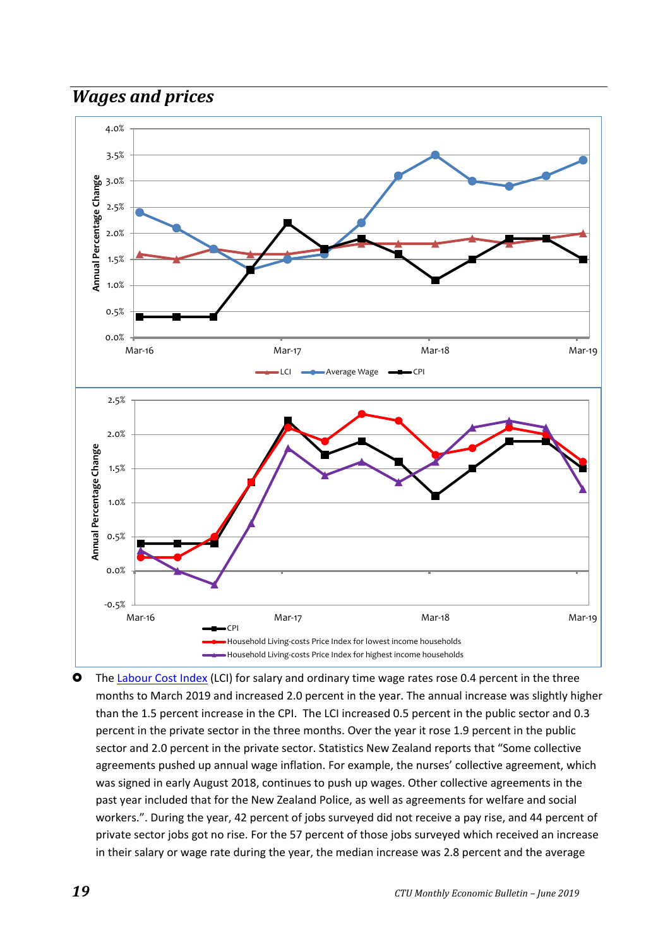## <span id="page-18-0"></span>*Wages and prices*



**O** The [Labour Cost Index](https://www.stats.govt.nz/topics/labour-market) (LCI) for salary and ordinary time wage rates rose 0.4 percent in the three months to March 2019 and increased 2.0 percent in the year. The annual increase was slightly higher than the 1.5 percent increase in the CPI. The LCI increased 0.5 percent in the public sector and 0.3 percent in the private sector in the three months. Over the year it rose 1.9 percent in the public sector and 2.0 percent in the private sector. Statistics New Zealand reports that "Some collective agreements pushed up annual wage inflation. For example, the nurses' collective agreement, which was signed in early August 2018, continues to push up wages. Other collective agreements in the past year included that for the New Zealand Police, as well as agreements for welfare and social workers.". During the year, 42 percent of jobs surveyed did not receive a pay rise, and 44 percent of private sector jobs got no rise. For the 57 percent of those jobs surveyed which received an increase in their salary or wage rate during the year, the median increase was 2.8 percent and the average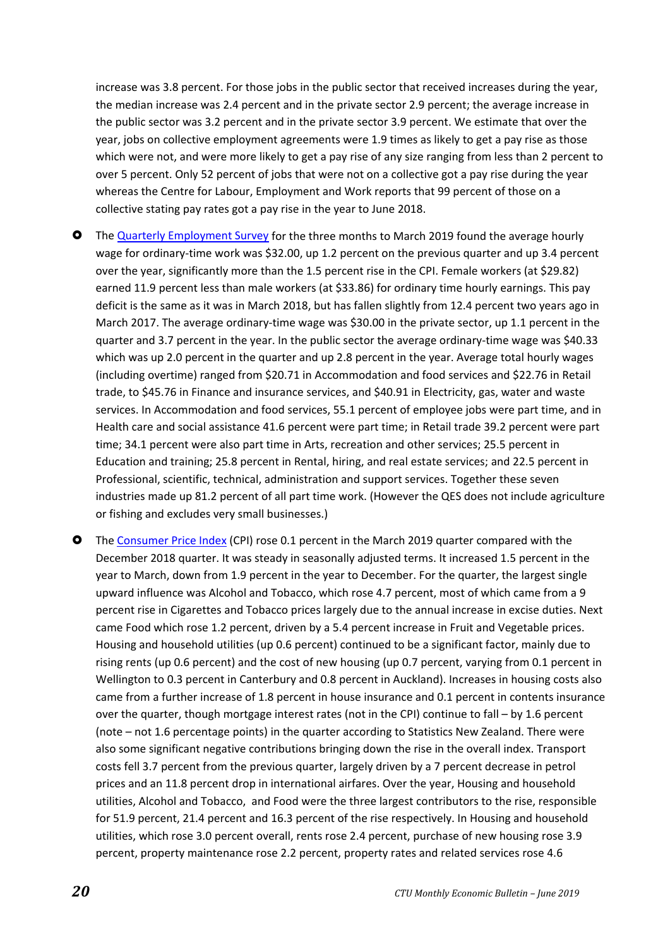increase was 3.8 percent. For those jobs in the public sector that received increases during the year, the median increase was 2.4 percent and in the private sector 2.9 percent; the average increase in the public sector was 3.2 percent and in the private sector 3.9 percent. We estimate that over the year, jobs on collective employment agreements were 1.9 times as likely to get a pay rise as those which were not, and were more likely to get a pay rise of any size ranging from less than 2 percent to over 5 percent. Only 52 percent of jobs that were not on a collective got a pay rise during the year whereas the Centre for Labour, Employment and Work reports that 99 percent of those on a collective stating pay rates got a pay rise in the year to June 2018.

- **O** The [Quarterly Employment Survey](https://www.stats.govt.nz/topics/labour-market) for the three months to March 2019 found the average hourly wage for ordinary-time work was \$32.00, up 1.2 percent on the previous quarter and up 3.4 percent over the year, significantly more than the 1.5 percent rise in the CPI. Female workers (at \$29.82) earned 11.9 percent less than male workers (at \$33.86) for ordinary time hourly earnings. This pay deficit is the same as it was in March 2018, but has fallen slightly from 12.4 percent two years ago in March 2017. The average ordinary-time wage was \$30.00 in the private sector, up 1.1 percent in the quarter and 3.7 percent in the year. In the public sector the average ordinary-time wage was \$40.33 which was up 2.0 percent in the quarter and up 2.8 percent in the year. Average total hourly wages (including overtime) ranged from \$20.71 in Accommodation and food services and \$22.76 in Retail trade, to \$45.76 in Finance and insurance services, and \$40.91 in Electricity, gas, water and waste services. In Accommodation and food services, 55.1 percent of employee jobs were part time, and in Health care and social assistance 41.6 percent were part time; in Retail trade 39.2 percent were part time; 34.1 percent were also part time in Arts, recreation and other services; 25.5 percent in Education and training; 25.8 percent in Rental, hiring, and real estate services; and 22.5 percent in Professional, scientific, technical, administration and support services. Together these seven industries made up 81.2 percent of all part time work. (However the QES does not include agriculture or fishing and excludes very small businesses.)
- The [Consumer Price Index](https://www.stats.govt.nz/insights?filters=Consumers%20price%20index%20%28CPI%29%2CInformation%20releases) (CPI) rose 0.1 percent in the March 2019 quarter compared with the December 2018 quarter. It was steady in seasonally adjusted terms. It increased 1.5 percent in the year to March, down from 1.9 percent in the year to December. For the quarter, the largest single upward influence was Alcohol and Tobacco, which rose 4.7 percent, most of which came from a 9 percent rise in Cigarettes and Tobacco prices largely due to the annual increase in excise duties. Next came Food which rose 1.2 percent, driven by a 5.4 percent increase in Fruit and Vegetable prices. Housing and household utilities (up 0.6 percent) continued to be a significant factor, mainly due to rising rents (up 0.6 percent) and the cost of new housing (up 0.7 percent, varying from 0.1 percent in Wellington to 0.3 percent in Canterbury and 0.8 percent in Auckland). Increases in housing costs also came from a further increase of 1.8 percent in house insurance and 0.1 percent in contents insurance over the quarter, though mortgage interest rates (not in the CPI) continue to fall – by 1.6 percent (note – not 1.6 percentage points) in the quarter according to Statistics New Zealand. There were also some significant negative contributions bringing down the rise in the overall index. Transport costs fell 3.7 percent from the previous quarter, largely driven by a 7 percent decrease in petrol prices and an 11.8 percent drop in international airfares. Over the year, Housing and household utilities, Alcohol and Tobacco, and Food were the three largest contributors to the rise, responsible for 51.9 percent, 21.4 percent and 16.3 percent of the rise respectively. In Housing and household utilities, which rose 3.0 percent overall, rents rose 2.4 percent, purchase of new housing rose 3.9 percent, property maintenance rose 2.2 percent, property rates and related services rose 4.6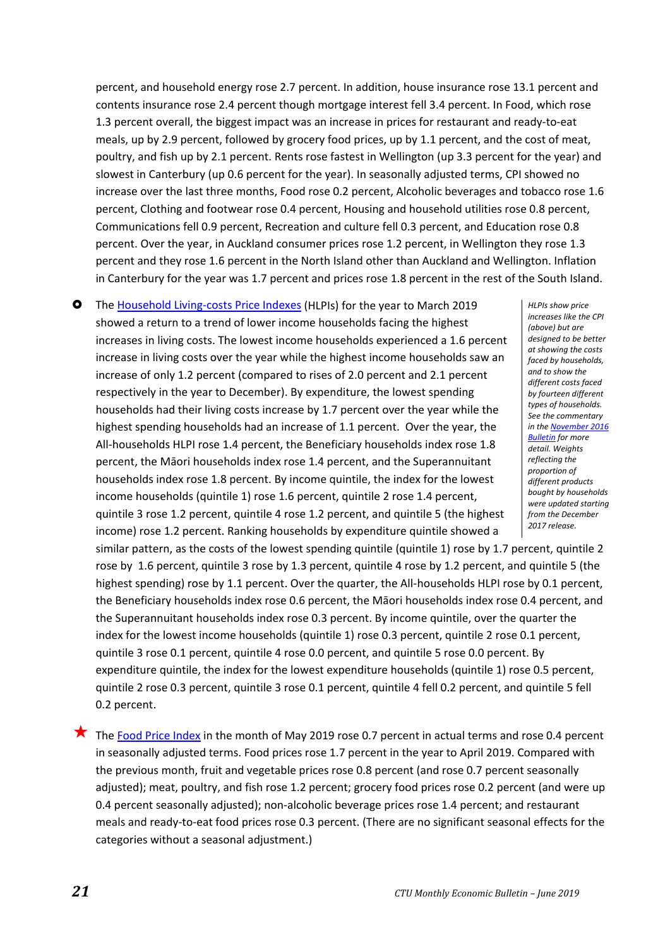percent, and household energy rose 2.7 percent. In addition, house insurance rose 13.1 percent and contents insurance rose 2.4 percent though mortgage interest fell 3.4 percent. In Food, which rose 1.3 percent overall, the biggest impact was an increase in prices for restaurant and ready-to-eat meals, up by 2.9 percent, followed by grocery food prices, up by 1.1 percent, and the cost of meat, poultry, and fish up by 2.1 percent. Rents rose fastest in Wellington (up 3.3 percent for the year) and slowest in Canterbury (up 0.6 percent for the year). In seasonally adjusted terms, CPI showed no increase over the last three months, Food rose 0.2 percent, Alcoholic beverages and tobacco rose 1.6 percent, Clothing and footwear rose 0.4 percent, Housing and household utilities rose 0.8 percent, Communications fell 0.9 percent, Recreation and culture fell 0.3 percent, and Education rose 0.8 percent. Over the year, in Auckland consumer prices rose 1.2 percent, in Wellington they rose 1.3 percent and they rose 1.6 percent in the North Island other than Auckland and Wellington. Inflation in Canterbury for the year was 1.7 percent and prices rose 1.8 percent in the rest of the South Island.

 The [Household Living-costs Price Indexes](https://www.stats.govt.nz/insights?filters=Household%20living-costs%20price%20indexes%2CInformation%20releases) (HLPIs) for the year to March 2019 showed a return to a trend of lower income households facing the highest increases in living costs. The lowest income households experienced a 1.6 percent increase in living costs over the year while the highest income households saw an increase of only 1.2 percent (compared to rises of 2.0 percent and 2.1 percent respectively in the year to December). By expenditure, the lowest spending households had their living costs increase by 1.7 percent over the year while the highest spending households had an increase of 1.1 percent. Over the year, the All-households HLPI rose 1.4 percent, the Beneficiary households index rose 1.8 percent, the Māori households index rose 1.4 percent, and the Superannuitant households index rose 1.8 percent. By income quintile, the index for the lowest income households (quintile 1) rose 1.6 percent, quintile 2 rose 1.4 percent, quintile 3 rose 1.2 percent, quintile 4 rose 1.2 percent, and quintile 5 (the highest income) rose 1.2 percent. Ranking households by expenditure quintile showed a

*HLPIs show price increases like the CPI (above) but are designed to be better at showing the costs faced by households, and to show the different costs faced by fourteen different types of households. See the commentary in th[e November 2016](http://www.union.org.nz/wp-content/uploads/2016/11/CTU-Monthly-Economic-Bulletin-184-November-2016.pdf)  [Bulletin](http://www.union.org.nz/wp-content/uploads/2016/11/CTU-Monthly-Economic-Bulletin-184-November-2016.pdf) for more detail. Weights reflecting the proportion of different products bought by households were updated starting from the December 2017 release.*

similar pattern, as the costs of the lowest spending quintile (quintile 1) rose by 1.7 percent, quintile 2 rose by 1.6 percent, quintile 3 rose by 1.3 percent, quintile 4 rose by 1.2 percent, and quintile 5 (the highest spending) rose by 1.1 percent. Over the quarter, the All-households HLPI rose by 0.1 percent, the Beneficiary households index rose 0.6 percent, the Māori households index rose 0.4 percent, and the Superannuitant households index rose 0.3 percent. By income quintile, over the quarter the index for the lowest income households (quintile 1) rose 0.3 percent, quintile 2 rose 0.1 percent, quintile 3 rose 0.1 percent, quintile 4 rose 0.0 percent, and quintile 5 rose 0.0 percent. By expenditure quintile, the index for the lowest expenditure households (quintile 1) rose 0.5 percent, quintile 2 rose 0.3 percent, quintile 3 rose 0.1 percent, quintile 4 fell 0.2 percent, and quintile 5 fell 0.2 percent.

The [Food Price Index](https://www.stats.govt.nz/insights?filters=Food%20price%20index%20%28FPI%29%2CInformation%20releases) in the month of May 2019 rose 0.7 percent in actual terms and rose 0.4 percent in seasonally adjusted terms. Food prices rose 1.7 percent in the year to April 2019. Compared with the previous month, fruit and vegetable prices rose 0.8 percent (and rose 0.7 percent seasonally adjusted); meat, poultry, and fish rose 1.2 percent; grocery food prices rose 0.2 percent (and were up 0.4 percent seasonally adjusted); non-alcoholic beverage prices rose 1.4 percent; and restaurant meals and ready-to-eat food prices rose 0.3 percent. (There are no significant seasonal effects for the categories without a seasonal adjustment.)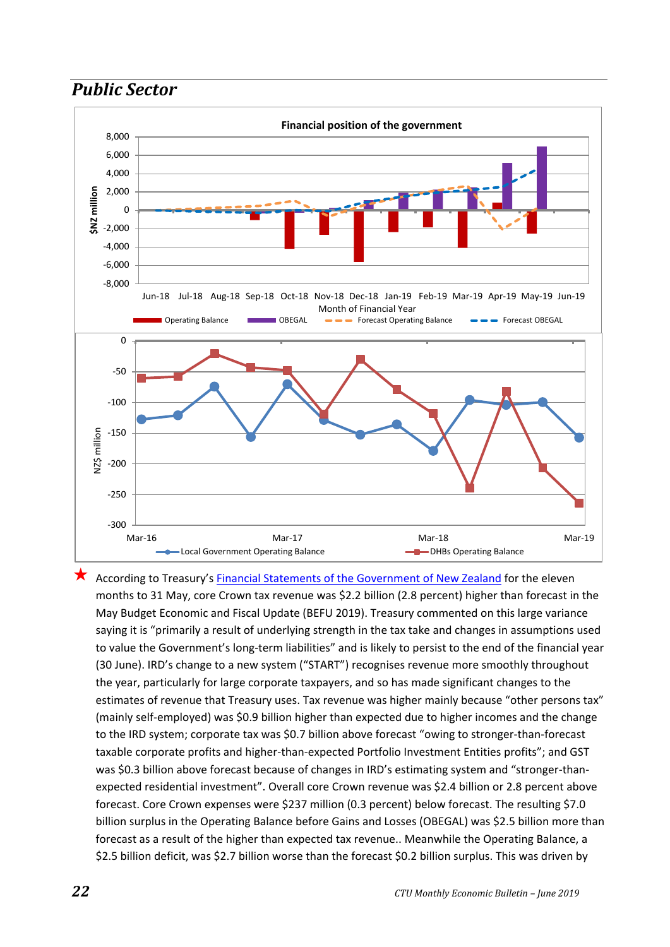<span id="page-21-0"></span>



 According to Treasury's [Financial Statements of the Government of New Zealand](http://www.treasury.govt.nz/government/financialstatements) for the eleven months to 31 May, core Crown tax revenue was \$2.2 billion (2.8 percent) higher than forecast in the May Budget Economic and Fiscal Update (BEFU 2019). Treasury commented on this large variance saying it is "primarily a result of underlying strength in the tax take and changes in assumptions used to value the Government's long-term liabilities" and is likely to persist to the end of the financial year (30 June). IRD's change to a new system ("START") recognises revenue more smoothly throughout the year, particularly for large corporate taxpayers, and so has made significant changes to the estimates of revenue that Treasury uses. Tax revenue was higher mainly because "other persons tax" (mainly self-employed) was \$0.9 billion higher than expected due to higher incomes and the change to the IRD system; corporate tax was \$0.7 billion above forecast "owing to stronger-than-forecast taxable corporate profits and higher-than-expected Portfolio Investment Entities profits"; and GST was \$0.3 billion above forecast because of changes in IRD's estimating system and "stronger-thanexpected residential investment". Overall core Crown revenue was \$2.4 billion or 2.8 percent above forecast. Core Crown expenses were \$237 million (0.3 percent) below forecast. The resulting \$7.0 billion surplus in the Operating Balance before Gains and Losses (OBEGAL) was \$2.5 billion more than forecast as a result of the higher than expected tax revenue.. Meanwhile the Operating Balance, a \$2.5 billion deficit, was \$2.7 billion worse than the forecast \$0.2 billion surplus. This was driven by